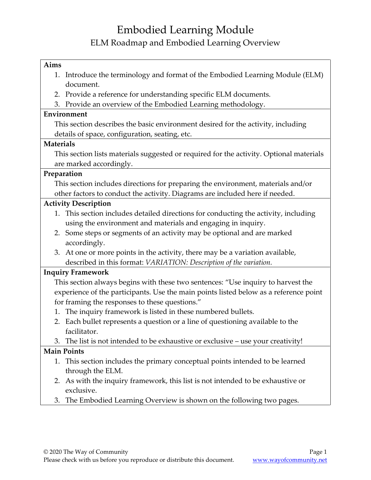## Embodied Learning Module ELM Roadmap and Embodied Learning Overview

| Aims                                                                                    |  |  |  |  |
|-----------------------------------------------------------------------------------------|--|--|--|--|
| Introduce the terminology and format of the Embodied Learning Module (ELM)<br>1.        |  |  |  |  |
| document.                                                                               |  |  |  |  |
| Provide a reference for understanding specific ELM documents.<br>2.                     |  |  |  |  |
| Provide an overview of the Embodied Learning methodology.<br>3.                         |  |  |  |  |
| Environment                                                                             |  |  |  |  |
| This section describes the basic environment desired for the activity, including        |  |  |  |  |
| details of space, configuration, seating, etc.                                          |  |  |  |  |
| <b>Materials</b>                                                                        |  |  |  |  |
| This section lists materials suggested or required for the activity. Optional materials |  |  |  |  |
| are marked accordingly.                                                                 |  |  |  |  |
| Preparation                                                                             |  |  |  |  |
| This section includes directions for preparing the environment, materials and/or        |  |  |  |  |
| other factors to conduct the activity. Diagrams are included here if needed.            |  |  |  |  |
| <b>Activity Description</b>                                                             |  |  |  |  |
| This section includes detailed directions for conducting the activity, including<br>1.  |  |  |  |  |
| using the environment and materials and engaging in inquiry.                            |  |  |  |  |
| 2. Some steps or segments of an activity may be optional and are marked                 |  |  |  |  |
| accordingly.                                                                            |  |  |  |  |
| At one or more points in the activity, there may be a variation available,<br>3.        |  |  |  |  |
| described in this format: VARIATION: Description of the variation.                      |  |  |  |  |
| <b>Inquiry Framework</b>                                                                |  |  |  |  |
| This section always begins with these two sentences: "Use inquiry to harvest the        |  |  |  |  |
| experience of the participants. Use the main points listed below as a reference point   |  |  |  |  |
| for framing the responses to these questions."                                          |  |  |  |  |
| The inquiry framework is listed in these numbered bullets.<br>1.                        |  |  |  |  |
| Each bullet represents a question or a line of questioning available to the<br>2.       |  |  |  |  |
| facilitator.                                                                            |  |  |  |  |
| The list is not intended to be exhaustive or exclusive – use your creativity!<br>3.     |  |  |  |  |
| <b>Main Points</b>                                                                      |  |  |  |  |
| This section includes the primary conceptual points intended to be learned<br>1.        |  |  |  |  |
| through the ELM.                                                                        |  |  |  |  |
| 2. As with the inquiry framework, this list is not intended to be exhaustive or         |  |  |  |  |
| exclusive.                                                                              |  |  |  |  |

3. The Embodied Learning Overview is shown on the following two pages.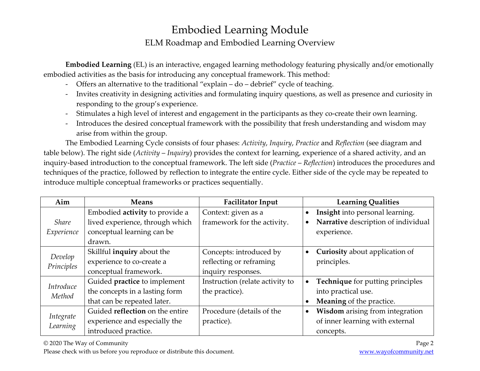## Embodied Learning Module ELM Roadmap and Embodied Learning Overview

**Embodied Learning** (EL) is an interactive, engaged learning methodology featuring physically and/or emotionally embodied activities as the basis for introducing any conceptual framework. This method:

- Offers an alternative to the traditional "explain do debrief" cycle of teaching.
- Invites creativity in designing activities and formulating inquiry questions, as well as presence and curiosity in responding to the group's experience.
- Stimulates a high level of interest and engagement in the participants as they co-create their own learning.
- Introduces the desired conceptual framework with the possibility that fresh understanding and wisdom may arise from within the group.

The Embodied Learning Cycle consists of four phases: *Activity*, *Inquiry*, *Practice* and *Reflection* (see diagram and table below). The right side (*Activity* – *Inquiry*) provides the context for learning, experience of a shared activity, and an inquiry-based introduction to the conceptual framework. The left side (*Practice* – *Reflection*) introduces the procedures and techniques of the practice, followed by reflection to integrate the entire cycle. Either side of the cycle may be repeated to introduce multiple conceptual frameworks or practices sequentially.

| Aim                        | <b>Means</b>                    | <b>Facilitator Input</b>        | <b>Learning Qualities</b>                          |
|----------------------------|---------------------------------|---------------------------------|----------------------------------------------------|
| <i>Share</i><br>Experience | Embodied activity to provide a  | Context: given as a             | Insight into personal learning.<br>$\bullet$       |
|                            | lived experience, through which | framework for the activity.     | Narrative description of individual<br>$\bullet$   |
|                            | conceptual learning can be      |                                 | experience.                                        |
|                            | drawn.                          |                                 |                                                    |
| Develop<br>Principles      | Skillful inquiry about the      | Concepts: introduced by         | <b>Curiosity</b> about application of<br>$\bullet$ |
|                            | experience to co-create a       | reflecting or reframing         | principles.                                        |
|                            | conceptual framework.           | inquiry responses.              |                                                    |
| Introduce<br>Method        | Guided practice to implement    | Instruction (relate activity to | Technique for putting principles<br>$\bullet$      |
|                            | the concepts in a lasting form  | the practice).                  | into practical use.                                |
|                            | that can be repeated later.     |                                 | Meaning of the practice.<br>$\bullet$              |
| Integrate<br>Learning      | Guided reflection on the entire | Procedure (details of the       | Wisdom arising from integration<br>$\bullet$       |
|                            | experience and especially the   | practice).                      | of inner learning with external                    |
|                            | introduced practice.            |                                 | concepts.                                          |

© 2020 The Way of Community Page 2

Please check with us before you reproduce or distribute this document. Www.wayofcommunity.net